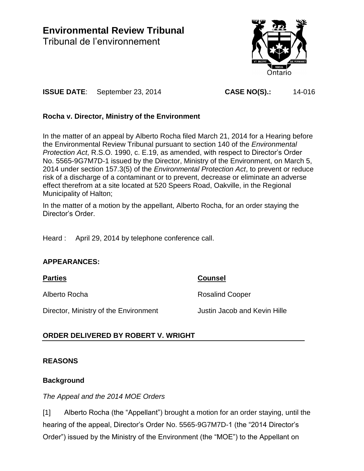**Environmental Review Tribunal** Tribunal de l'environnement



**ISSUE DATE**: September 23, 2014 **CASE NO(S).:** 14-016

# **Rocha v. Director, Ministry of the Environment**

In the matter of an appeal by Alberto Rocha filed March 21, 2014 for a Hearing before the Environmental Review Tribunal pursuant to section 140 of the *Environmental Protection Act*, R.S.O. 1990, c. E.19, as amended, with respect to Director's Order No. 5565-9G7M7D-1 issued by the Director, Ministry of the Environment, on March 5, 2014 under section 157.3(5) of the *Environmental Protection Act*, to prevent or reduce risk of a discharge of a contaminant or to prevent, decrease or eliminate an adverse effect therefrom at a site located at 520 Speers Road, Oakville, in the Regional Municipality of Halton;

In the matter of a motion by the appellant, Alberto Rocha, for an order staying the Director's Order.

Heard : April 29, 2014 by telephone conference call.

# **APPEARANCES:**

**Parties Counsel**

Alberto Rocha **Rosalind Cooper** 

Director, Ministry of the Environment Justin Jacob and Kevin Hille

# **ORDER DELIVERED BY ROBERT V. WRIGHT**

# **REASONS**

# **Background**

# *The Appeal and the 2014 MOE Orders*

[1] Alberto Rocha (the "Appellant") brought a motion for an order staying, until the hearing of the appeal, Director's Order No. 5565-9G7M7D-1 (the "2014 Director's Order") issued by the Ministry of the Environment (the "MOE") to the Appellant on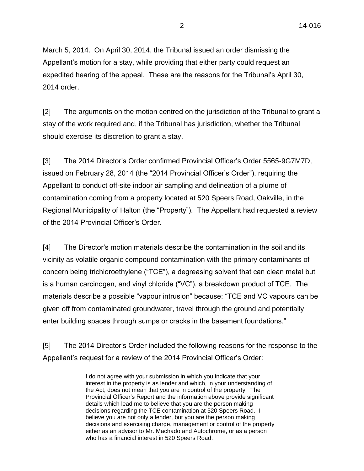March 5, 2014. On April 30, 2014, the Tribunal issued an order dismissing the Appellant's motion for a stay, while providing that either party could request an expedited hearing of the appeal. These are the reasons for the Tribunal's April 30, 2014 order.

[2] The arguments on the motion centred on the jurisdiction of the Tribunal to grant a stay of the work required and, if the Tribunal has jurisdiction, whether the Tribunal should exercise its discretion to grant a stay.

[3] The 2014 Director's Order confirmed Provincial Officer's Order 5565-9G7M7D, issued on February 28, 2014 (the "2014 Provincial Officer's Order"), requiring the Appellant to conduct off-site indoor air sampling and delineation of a plume of contamination coming from a property located at 520 Speers Road, Oakville, in the Regional Municipality of Halton (the "Property"). The Appellant had requested a review of the 2014 Provincial Officer's Order.

[4] The Director's motion materials describe the contamination in the soil and its vicinity as volatile organic compound contamination with the primary contaminants of concern being trichloroethylene ("TCE"), a degreasing solvent that can clean metal but is a human carcinogen, and vinyl chloride ("VC"), a breakdown product of TCE. The materials describe a possible "vapour intrusion" because: "TCE and VC vapours can be given off from contaminated groundwater, travel through the ground and potentially enter building spaces through sumps or cracks in the basement foundations."

[5] The 2014 Director's Order included the following reasons for the response to the Appellant's request for a review of the 2014 Provincial Officer's Order:

> I do not agree with your submission in which you indicate that your interest in the property is as lender and which, in your understanding of the Act, does not mean that you are in control of the property. The Provincial Officer's Report and the information above provide significant details which lead me to believe that you are the person making decisions regarding the TCE contamination at 520 Speers Road. I believe you are not only a lender, but you are the person making decisions and exercising charge, management or control of the property either as an advisor to Mr. Machado and Autochrome, or as a person who has a financial interest in 520 Speers Road.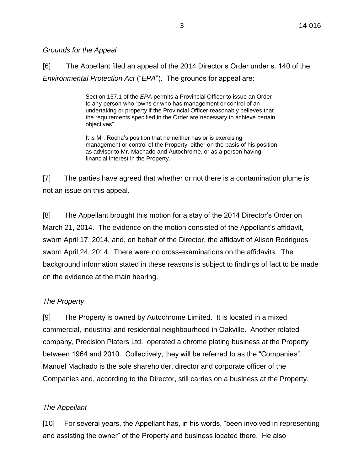## *Grounds for the Appeal*

[6] The Appellant filed an appeal of the 2014 Director's Order under s. 140 of the *Environmental Protection Act* ("*EPA*"). The grounds for appeal are:

> Section 157.1 of the *EPA* permits a Provincial Officer to issue an Order to any person who "owns or who has management or control of an undertaking or property if the Provincial Officer reasonably believes that the requirements specified in the Order are necessary to achieve certain objectives".

It is Mr. Rocha's position that he neither has or is exercising management or control of the Property, either on the basis of his position as advisor to Mr. Machado and Autochrome, or as a person having financial interest in the Property.

[7] The parties have agreed that whether or not there is a contamination plume is not an issue on this appeal.

[8] The Appellant brought this motion for a stay of the 2014 Director's Order on March 21, 2014. The evidence on the motion consisted of the Appellant's affidavit, sworn April 17, 2014, and, on behalf of the Director, the affidavit of Alison Rodrigues sworn April 24, 2014. There were no cross-examinations on the affidavits. The background information stated in these reasons is subject to findings of fact to be made on the evidence at the main hearing.

# *The Property*

[9] The Property is owned by Autochrome Limited. It is located in a mixed commercial, industrial and residential neighbourhood in Oakville. Another related company, Precision Platers Ltd., operated a chrome plating business at the Property between 1964 and 2010. Collectively, they will be referred to as the "Companies". Manuel Machado is the sole shareholder, director and corporate officer of the Companies and, according to the Director, still carries on a business at the Property.

# *The Appellant*

[10] For several years, the Appellant has, in his words, "been involved in representing and assisting the owner" of the Property and business located there. He also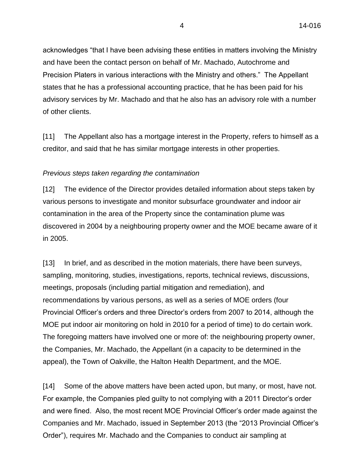acknowledges "that I have been advising these entities in matters involving the Ministry and have been the contact person on behalf of Mr. Machado, Autochrome and Precision Platers in various interactions with the Ministry and others." The Appellant states that he has a professional accounting practice, that he has been paid for his advisory services by Mr. Machado and that he also has an advisory role with a number of other clients.

[11] The Appellant also has a mortgage interest in the Property, refers to himself as a creditor, and said that he has similar mortgage interests in other properties.

## *Previous steps taken regarding the contamination*

[12] The evidence of the Director provides detailed information about steps taken by various persons to investigate and monitor subsurface groundwater and indoor air contamination in the area of the Property since the contamination plume was discovered in 2004 by a neighbouring property owner and the MOE became aware of it in 2005.

[13] In brief, and as described in the motion materials, there have been surveys, sampling, monitoring, studies, investigations, reports, technical reviews, discussions, meetings, proposals (including partial mitigation and remediation), and recommendations by various persons, as well as a series of MOE orders (four Provincial Officer's orders and three Director's orders from 2007 to 2014, although the MOE put indoor air monitoring on hold in 2010 for a period of time) to do certain work. The foregoing matters have involved one or more of: the neighbouring property owner, the Companies, Mr. Machado, the Appellant (in a capacity to be determined in the appeal), the Town of Oakville, the Halton Health Department, and the MOE.

[14] Some of the above matters have been acted upon, but many, or most, have not. For example, the Companies pled guilty to not complying with a 2011 Director's order and were fined. Also, the most recent MOE Provincial Officer's order made against the Companies and Mr. Machado, issued in September 2013 (the "2013 Provincial Officer's Order"), requires Mr. Machado and the Companies to conduct air sampling at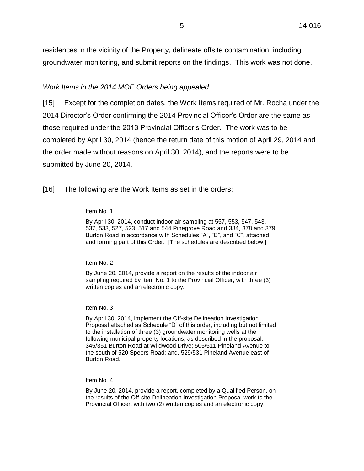residences in the vicinity of the Property, delineate offsite contamination, including groundwater monitoring, and submit reports on the findings. This work was not done.

## *Work Items in the 2014 MOE Orders being appealed*

[15] Except for the completion dates, the Work Items required of Mr. Rocha under the 2014 Director's Order confirming the 2014 Provincial Officer's Order are the same as those required under the 2013 Provincial Officer's Order. The work was to be completed by April 30, 2014 (hence the return date of this motion of April 29, 2014 and the order made without reasons on April 30, 2014), and the reports were to be submitted by June 20, 2014.

[16] The following are the Work Items as set in the orders:

#### Item No. 1

By April 30, 2014, conduct indoor air sampling at 557, 553, 547, 543, 537, 533, 527, 523, 517 and 544 Pinegrove Road and 384, 378 and 379 Burton Road in accordance with Schedules "A", "B", and "C", attached and forming part of this Order. [The schedules are described below.]

#### Item No. 2

By June 20, 2014, provide a report on the results of the indoor air sampling required by Item No. 1 to the Provincial Officer, with three (3) written copies and an electronic copy.

#### Item No. 3

By April 30, 2014, implement the Off-site Delineation Investigation Proposal attached as Schedule "D" of this order, including but not limited to the installation of three (3) groundwater monitoring wells at the following municipal property locations, as described in the proposal: 345/351 Burton Road at Wildwood Drive; 505/511 Pineland Avenue to the south of 520 Speers Road; and, 529/531 Pineland Avenue east of Burton Road.

Item No. 4

By June 20, 2014, provide a report, completed by a Qualified Person, on the results of the Off-site Delineation Investigation Proposal work to the Provincial Officer, with two (2) written copies and an electronic copy.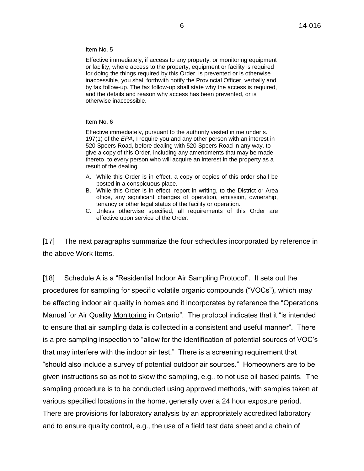Item No. 5

Effective immediately, if access to any property, or monitoring equipment or facility, where access to the property, equipment or facility is required for doing the things required by this Order, is prevented or is otherwise inaccessible, you shall forthwith notify the Provincial Officer, verbally and by fax follow-up. The fax follow-up shall state why the access is required, and the details and reason why access has been prevented, or is otherwise inaccessible.

### Item No. 6

Effective immediately, pursuant to the authority vested in me under s. 197(1) of the *EPA*, I require you and any other person with an interest in 520 Speers Road, before dealing with 520 Speers Road in any way, to give a copy of this Order, including any amendments that may be made thereto, to every person who will acquire an interest in the property as a result of the dealing.

- A. While this Order is in effect, a copy or copies of this order shall be posted in a conspicuous place.
- B. While this Order is in effect, report in writing, to the District or Area office, any significant changes of operation, emission, ownership, tenancy or other legal status of the facility or operation.
- C. Unless otherwise specified, all requirements of this Order are effective upon service of the Order.

[17] The next paragraphs summarize the four schedules incorporated by reference in the above Work Items.

[18] Schedule A is a "Residential Indoor Air Sampling Protocol". It sets out the procedures for sampling for specific volatile organic compounds ("VOCs"), which may be affecting indoor air quality in homes and it incorporates by reference the "Operations Manual for Air Quality Monitoring in Ontario". The protocol indicates that it "is intended to ensure that air sampling data is collected in a consistent and useful manner". There is a pre-sampling inspection to "allow for the identification of potential sources of VOC's that may interfere with the indoor air test." There is a screening requirement that "should also include a survey of potential outdoor air sources." Homeowners are to be given instructions so as not to skew the sampling, e.g., to not use oil based paints. The sampling procedure is to be conducted using approved methods, with samples taken at various specified locations in the home, generally over a 24 hour exposure period. There are provisions for laboratory analysis by an appropriately accredited laboratory and to ensure quality control, e.g., the use of a field test data sheet and a chain of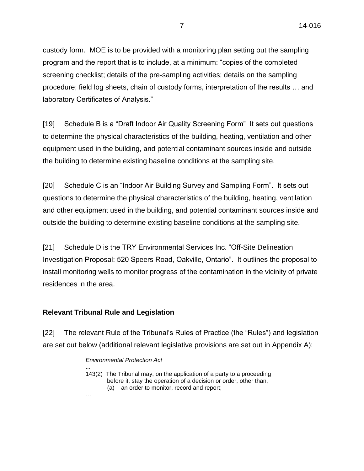custody form. MOE is to be provided with a monitoring plan setting out the sampling program and the report that is to include, at a minimum: "copies of the completed screening checklist; details of the pre-sampling activities; details on the sampling procedure; field log sheets, chain of custody forms, interpretation of the results … and laboratory Certificates of Analysis."

[19] Schedule B is a "Draft Indoor Air Quality Screening Form" It sets out questions to determine the physical characteristics of the building, heating, ventilation and other equipment used in the building, and potential contaminant sources inside and outside the building to determine existing baseline conditions at the sampling site.

[20] Schedule C is an "Indoor Air Building Survey and Sampling Form". It sets out questions to determine the physical characteristics of the building, heating, ventilation and other equipment used in the building, and potential contaminant sources inside and outside the building to determine existing baseline conditions at the sampling site.

[21] Schedule D is the TRY Environmental Services Inc. "Off-Site Delineation Investigation Proposal: 520 Speers Road, Oakville, Ontario". It outlines the proposal to install monitoring wells to monitor progress of the contamination in the vicinity of private residences in the area.

# **Relevant Tribunal Rule and Legislation**

…

[22] The relevant Rule of the Tribunal's Rules of Practice (the "Rules") and legislation are set out below (additional relevant legislative provisions are set out in Appendix A):

## *Environmental Protection Act*

... 143(2) The Tribunal may, on the application of a party to a proceeding before it, stay the operation of a decision or order, other than, (a) an order to monitor, record and report;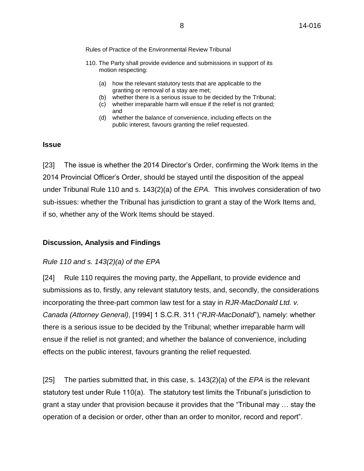Rules of Practice of the Environmental Review Tribunal

- 110. The Party shall provide evidence and submissions in support of its motion respecting:
	- (a) how the relevant statutory tests that are applicable to the granting or removal of a stay are met;
	- (b) whether there is a serious issue to be decided by the Tribunal;
	- (c) whether irreparable harm will ensue if the relief is not granted; and
	- (d) whether the balance of convenience, including effects on the public interest, favours granting the relief requested.

## **Issue**

[23] The issue is whether the 2014 Director's Order, confirming the Work Items in the 2014 Provincial Officer's Order, should be stayed until the disposition of the appeal under Tribunal Rule 110 and s. 143(2)(a) of the *EPA.* This involves consideration of two sub-issues: whether the Tribunal has jurisdiction to grant a stay of the Work Items and, if so, whether any of the Work Items should be stayed.

# **Discussion, Analysis and Findings**

## *Rule 110 and s. 143(2)(a) of the EPA*

[24] Rule 110 requires the moving party, the Appellant, to provide evidence and submissions as to, firstly, any relevant statutory tests, and, secondly, the considerations incorporating the three-part common law test for a stay in *RJR-MacDonald Ltd. v. Canada (Attorney General)*, [1994] 1 S.C.R. 311 ("*RJR-MacDonald*"), namely: whether there is a serious issue to be decided by the Tribunal; whether irreparable harm will ensue if the relief is not granted; and whether the balance of convenience, including effects on the public interest, favours granting the relief requested.

[25] The parties submitted that, in this case, s. 143(2)(a) of the *EPA* is the relevant statutory test under Rule 110(a). The statutory test limits the Tribunal's jurisdiction to grant a stay under that provision because it provides that the "Tribunal may … stay the operation of a decision or order, other than an order to monitor, record and report".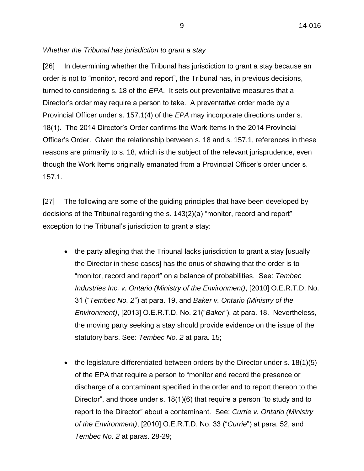# *Whether the Tribunal has jurisdiction to grant a stay*

[26] In determining whether the Tribunal has jurisdiction to grant a stay because an order is not to "monitor, record and report", the Tribunal has, in previous decisions, turned to considering s. 18 of the *EPA*. It sets out preventative measures that a Director's order may require a person to take. A preventative order made by a Provincial Officer under s. 157.1(4) of the *EPA* may incorporate directions under s. 18(1). The 2014 Director's Order confirms the Work Items in the 2014 Provincial Officer's Order. Given the relationship between s. 18 and s. 157.1, references in these reasons are primarily to s. 18, which is the subject of the relevant jurisprudence, even though the Work Items originally emanated from a Provincial Officer's order under s. 157.1.

[27] The following are some of the guiding principles that have been developed by decisions of the Tribunal regarding the s. 143(2)(a) "monitor, record and report" exception to the Tribunal's jurisdiction to grant a stay:

- the party alleging that the Tribunal lacks jurisdiction to grant a stay [usually the Director in these cases] has the onus of showing that the order is to "monitor, record and report" on a balance of probabilities. See: *Tembec Industries Inc. v. Ontario (Ministry of the Environment)*, [2010] O.E.R.T.D. No. 31 ("*Tembec No. 2*") at para. 19, and *Baker v. Ontario (Ministry of the Environment)*, [2013] O.E.R.T.D. No. 21("*Baker*"), at para. 18. Nevertheless, the moving party seeking a stay should provide evidence on the issue of the statutory bars. See: *Tembec No. 2* at para. 15;
- the legislature differentiated between orders by the Director under s.  $18(1)(5)$ of the EPA that require a person to "monitor and record the presence or discharge of a contaminant specified in the order and to report thereon to the Director", and those under s. 18(1)(6) that require a person "to study and to report to the Director" about a contaminant. See: *Currie v. Ontario (Ministry of the Environment)*, [2010] O.E.R.T.D. No. 33 ("*Currie*") at para. 52, and *Tembec No. 2* at paras. 28-29;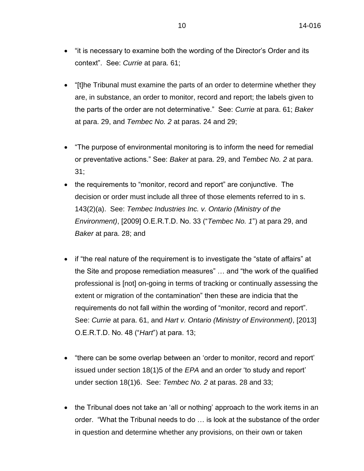- "it is necessary to examine both the wording of the Director's Order and its context". See: *Currie* at para. 61;
- "[t]he Tribunal must examine the parts of an order to determine whether they are, in substance, an order to monitor, record and report; the labels given to the parts of the order are not determinative." See: *Currie* at para. 61; *Baker* at para. 29, and *Tembec No. 2* at paras. 24 and 29;
- "The purpose of environmental monitoring is to inform the need for remedial or preventative actions." See: *Baker* at para. 29, and *Tembec No. 2* at para. 31;
- the requirements to "monitor, record and report" are conjunctive. The decision or order must include all three of those elements referred to in s. 143(2)(a). See: *Tembec Industries Inc. v. Ontario (Ministry of the Environment)*, [2009] O.E.R.T.D. No. 33 ("*Tembec No. 1*") at para 29, and *Baker* at para. 28; and
- if "the real nature of the requirement is to investigate the "state of affairs" at the Site and propose remediation measures" … and "the work of the qualified professional is [not] on-going in terms of tracking or continually assessing the extent or migration of the contamination" then these are indicia that the requirements do not fall within the wording of "monitor, record and report". See: *Currie* at para. 61, and *Hart v. Ontario (Ministry of Environment)*, [2013] O.E.R.T.D. No. 48 ("*Hart*") at para. 13;
- "there can be some overlap between an 'order to monitor, record and report' issued under section 18(1)5 of the *EPA* and an order 'to study and report' under section 18(1)6. See: *Tembec No. 2* at paras. 28 and 33;
- the Tribunal does not take an 'all or nothing' approach to the work items in an order. "What the Tribunal needs to do … is look at the substance of the order in question and determine whether any provisions, on their own or taken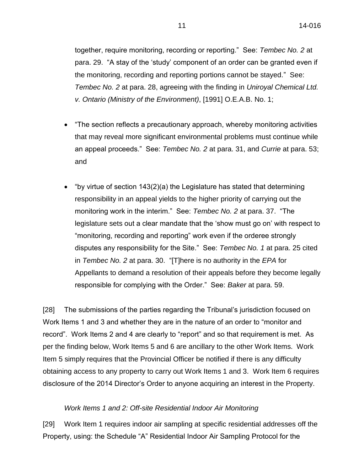together, require monitoring, recording or reporting." See: *Tembec No. 2* at para. 29. "A stay of the 'study' component of an order can be granted even if the monitoring, recording and reporting portions cannot be stayed." See: *Tembec No. 2* at para. 28, agreeing with the finding in *Uniroyal Chemical Ltd. v. Ontario (Ministry of the Environment)*, [1991] O.E.A.B. No. 1;

- "The section reflects a precautionary approach, whereby monitoring activities that may reveal more significant environmental problems must continue while an appeal proceeds." See: *Tembec No. 2* at para. 31, and *Currie* at para. 53; and
- "by virtue of section  $143(2)(a)$  the Legislature has stated that determining responsibility in an appeal yields to the higher priority of carrying out the monitoring work in the interim." See: *Tembec No. 2* at para. 37. "The legislature sets out a clear mandate that the 'show must go on' with respect to "monitoring, recording and reporting" work even if the orderee strongly disputes any responsibility for the Site." See: *Tembec No. 1* at para. 25 cited in *Tembec No. 2* at para. 30. "[T]here is no authority in the *EPA* for Appellants to demand a resolution of their appeals before they become legally responsible for complying with the Order." See: *Baker* at para. 59.

[28] The submissions of the parties regarding the Tribunal's jurisdiction focused on Work Items 1 and 3 and whether they are in the nature of an order to "monitor and record". Work Items 2 and 4 are clearly to "report" and so that requirement is met. As per the finding below, Work Items 5 and 6 are ancillary to the other Work Items. Work Item 5 simply requires that the Provincial Officer be notified if there is any difficulty obtaining access to any property to carry out Work Items 1 and 3. Work Item 6 requires disclosure of the 2014 Director's Order to anyone acquiring an interest in the Property.

## *Work Items 1 and 2: Off-site Residential Indoor Air Monitoring*

[29] Work Item 1 requires indoor air sampling at specific residential addresses off the Property, using: the Schedule "A" Residential Indoor Air Sampling Protocol for the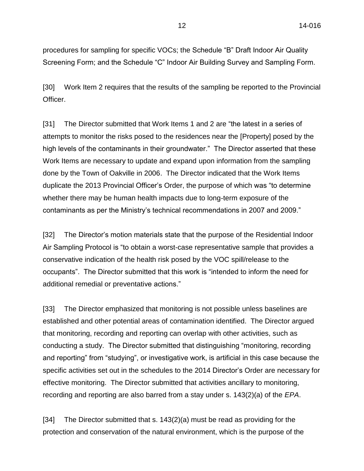procedures for sampling for specific VOCs; the Schedule "B" Draft Indoor Air Quality Screening Form; and the Schedule "C" Indoor Air Building Survey and Sampling Form.

[30] Work Item 2 requires that the results of the sampling be reported to the Provincial Officer.

[31] The Director submitted that Work Items 1 and 2 are "the latest in a series of attempts to monitor the risks posed to the residences near the [Property] posed by the high levels of the contaminants in their groundwater." The Director asserted that these Work Items are necessary to update and expand upon information from the sampling done by the Town of Oakville in 2006. The Director indicated that the Work Items duplicate the 2013 Provincial Officer's Order, the purpose of which was "to determine whether there may be human health impacts due to long-term exposure of the contaminants as per the Ministry's technical recommendations in 2007 and 2009."

[32] The Director's motion materials state that the purpose of the Residential Indoor Air Sampling Protocol is "to obtain a worst-case representative sample that provides a conservative indication of the health risk posed by the VOC spill/release to the occupants". The Director submitted that this work is "intended to inform the need for additional remedial or preventative actions."

[33] The Director emphasized that monitoring is not possible unless baselines are established and other potential areas of contamination identified. The Director argued that monitoring, recording and reporting can overlap with other activities, such as conducting a study. The Director submitted that distinguishing "monitoring, recording and reporting" from "studying", or investigative work, is artificial in this case because the specific activities set out in the schedules to the 2014 Director's Order are necessary for effective monitoring. The Director submitted that activities ancillary to monitoring, recording and reporting are also barred from a stay under s. 143(2)(a) of the *EPA*.

[34] The Director submitted that s. 143(2)(a) must be read as providing for the protection and conservation of the natural environment, which is the purpose of the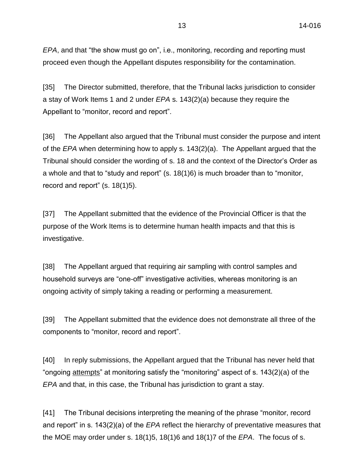*EPA*, and that "the show must go on", i.e., monitoring, recording and reporting must proceed even though the Appellant disputes responsibility for the contamination.

[35] The Director submitted, therefore, that the Tribunal lacks jurisdiction to consider a stay of Work Items 1 and 2 under *EPA* s. 143(2)(a) because they require the Appellant to "monitor, record and report".

[36] The Appellant also argued that the Tribunal must consider the purpose and intent of the *EPA* when determining how to apply s. 143(2)(a). The Appellant argued that the Tribunal should consider the wording of s. 18 and the context of the Director's Order as a whole and that to "study and report" (s. 18(1)6) is much broader than to "monitor, record and report" (s. 18(1)5).

[37] The Appellant submitted that the evidence of the Provincial Officer is that the purpose of the Work Items is to determine human health impacts and that this is investigative.

[38] The Appellant argued that requiring air sampling with control samples and household surveys are "one-off" investigative activities, whereas monitoring is an ongoing activity of simply taking a reading or performing a measurement.

[39] The Appellant submitted that the evidence does not demonstrate all three of the components to "monitor, record and report".

[40] In reply submissions, the Appellant argued that the Tribunal has never held that "ongoing attempts" at monitoring satisfy the "monitoring" aspect of s. 143(2)(a) of the *EPA* and that, in this case, the Tribunal has jurisdiction to grant a stay.

[41] The Tribunal decisions interpreting the meaning of the phrase "monitor, record and report" in s. 143(2)(a) of the *EPA* reflect the hierarchy of preventative measures that the MOE may order under s. 18(1)5, 18(1)6 and 18(1)7 of the *EPA*. The focus of s.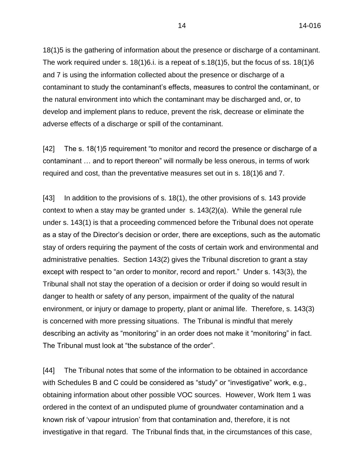18(1)5 is the gathering of information about the presence or discharge of a contaminant. The work required under s.  $18(1)6$ . is a repeat of s.  $18(1)5$ , but the focus of ss.  $18(1)6$ and 7 is using the information collected about the presence or discharge of a contaminant to study the contaminant's effects, measures to control the contaminant, or the natural environment into which the contaminant may be discharged and, or, to develop and implement plans to reduce, prevent the risk, decrease or eliminate the adverse effects of a discharge or spill of the contaminant.

[42] The s. 18(1)5 requirement "to monitor and record the presence or discharge of a contaminant … and to report thereon" will normally be less onerous, in terms of work required and cost, than the preventative measures set out in s. 18(1)6 and 7.

[43] In addition to the provisions of s. 18(1), the other provisions of s. 143 provide context to when a stay may be granted under s. 143(2)(a). While the general rule under s. 143(1) is that a proceeding commenced before the Tribunal does not operate as a stay of the Director's decision or order, there are exceptions, such as the automatic stay of orders requiring the payment of the costs of certain work and environmental and administrative penalties. Section 143(2) gives the Tribunal discretion to grant a stay except with respect to "an order to monitor, record and report." Under s. 143(3), the Tribunal shall not stay the operation of a decision or order if doing so would result in danger to health or safety of any person, impairment of the quality of the natural environment, or injury or damage to property, plant or animal life. Therefore, s. 143(3) is concerned with more pressing situations. The Tribunal is mindful that merely describing an activity as "monitoring" in an order does not make it "monitoring" in fact. The Tribunal must look at "the substance of the order".

[44] The Tribunal notes that some of the information to be obtained in accordance with Schedules B and C could be considered as "study" or "investigative" work, e.g., obtaining information about other possible VOC sources. However, Work Item 1 was ordered in the context of an undisputed plume of groundwater contamination and a known risk of 'vapour intrusion' from that contamination and, therefore, it is not investigative in that regard. The Tribunal finds that, in the circumstances of this case,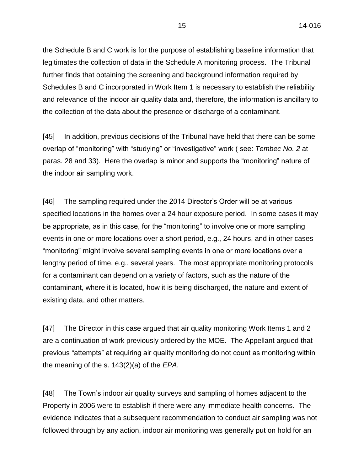the Schedule B and C work is for the purpose of establishing baseline information that legitimates the collection of data in the Schedule A monitoring process. The Tribunal further finds that obtaining the screening and background information required by Schedules B and C incorporated in Work Item 1 is necessary to establish the reliability and relevance of the indoor air quality data and, therefore, the information is ancillary to the collection of the data about the presence or discharge of a contaminant.

[45] In addition, previous decisions of the Tribunal have held that there can be some overlap of "monitoring" with "studying" or "investigative" work ( see: *Tembec No. 2* at paras. 28 and 33). Here the overlap is minor and supports the "monitoring" nature of the indoor air sampling work.

[46] The sampling required under the 2014 Director's Order will be at various specified locations in the homes over a 24 hour exposure period. In some cases it may be appropriate, as in this case, for the "monitoring" to involve one or more sampling events in one or more locations over a short period, e.g., 24 hours, and in other cases "monitoring" might involve several sampling events in one or more locations over a lengthy period of time, e.g., several years. The most appropriate monitoring protocols for a contaminant can depend on a variety of factors, such as the nature of the contaminant, where it is located, how it is being discharged, the nature and extent of existing data, and other matters.

[47] The Director in this case argued that air quality monitoring Work Items 1 and 2 are a continuation of work previously ordered by the MOE. The Appellant argued that previous "attempts" at requiring air quality monitoring do not count as monitoring within the meaning of the s. 143(2)(a) of the *EPA*.

[48] The Town's indoor air quality surveys and sampling of homes adjacent to the Property in 2006 were to establish if there were any immediate health concerns. The evidence indicates that a subsequent recommendation to conduct air sampling was not followed through by any action, indoor air monitoring was generally put on hold for an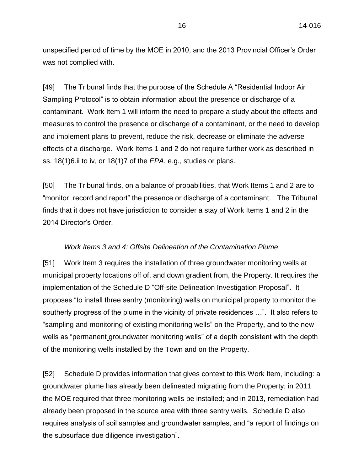unspecified period of time by the MOE in 2010, and the 2013 Provincial Officer's Order was not complied with.

[49] The Tribunal finds that the purpose of the Schedule A "Residential Indoor Air Sampling Protocol" is to obtain information about the presence or discharge of a contaminant. Work Item 1 will inform the need to prepare a study about the effects and measures to control the presence or discharge of a contaminant, or the need to develop and implement plans to prevent, reduce the risk, decrease or eliminate the adverse effects of a discharge. Work Items 1 and 2 do not require further work as described in ss. 18(1)6.ii to iv, or 18(1)7 of the *EPA*, e.g., studies or plans.

[50] The Tribunal finds, on a balance of probabilities, that Work Items 1 and 2 are to "monitor, record and report" the presence or discharge of a contaminant. The Tribunal finds that it does not have jurisdiction to consider a stay of Work Items 1 and 2 in the 2014 Director's Order.

## *Work Items 3 and 4: Offsite Delineation of the Contamination Plume*

[51] Work Item 3 requires the installation of three groundwater monitoring wells at municipal property locations off of, and down gradient from, the Property. It requires the implementation of the Schedule D "Off-site Delineation Investigation Proposal". It proposes "to install three sentry (monitoring) wells on municipal property to monitor the southerly progress of the plume in the vicinity of private residences …". It also refers to "sampling and monitoring of existing monitoring wells" on the Property, and to the new wells as "permanent groundwater monitoring wells" of a depth consistent with the depth of the monitoring wells installed by the Town and on the Property.

[52] Schedule D provides information that gives context to this Work Item, including: a groundwater plume has already been delineated migrating from the Property; in 2011 the MOE required that three monitoring wells be installed; and in 2013, remediation had already been proposed in the source area with three sentry wells. Schedule D also requires analysis of soil samples and groundwater samples, and "a report of findings on the subsurface due diligence investigation".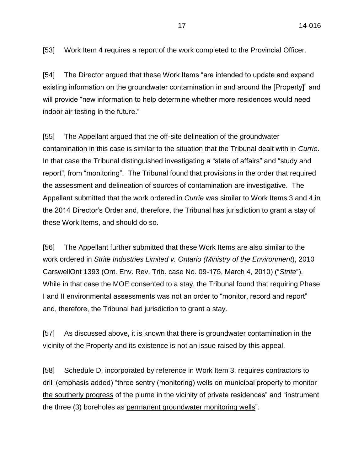[53] Work Item 4 requires a report of the work completed to the Provincial Officer.

[54] The Director argued that these Work Items "are intended to update and expand existing information on the groundwater contamination in and around the [Property]" and will provide "new information to help determine whether more residences would need indoor air testing in the future."

[55] The Appellant argued that the off-site delineation of the groundwater contamination in this case is similar to the situation that the Tribunal dealt with in *Currie*. In that case the Tribunal distinguished investigating a "state of affairs" and "study and report", from "monitoring". The Tribunal found that provisions in the order that required the assessment and delineation of sources of contamination are investigative. The Appellant submitted that the work ordered in *Currie* was similar to Work Items 3 and 4 in the 2014 Director's Order and, therefore, the Tribunal has jurisdiction to grant a stay of these Work Items, and should do so.

[56] The Appellant further submitted that these Work Items are also similar to the work ordered in *Strite Industries Limited v. Ontario (Ministry of the Environment*), 2010 CarswellOnt 1393 (Ont. Env. Rev. Trib. case No. 09-175, March 4, 2010) ("*Strite*"). While in that case the MOE consented to a stay, the Tribunal found that requiring Phase I and II environmental assessments was not an order to "monitor, record and report" and, therefore, the Tribunal had jurisdiction to grant a stay.

[57] As discussed above, it is known that there is groundwater contamination in the vicinity of the Property and its existence is not an issue raised by this appeal.

[58] Schedule D, incorporated by reference in Work Item 3, requires contractors to drill (emphasis added) "three sentry (monitoring) wells on municipal property to monitor the southerly progress of the plume in the vicinity of private residences" and "instrument the three (3) boreholes as permanent groundwater monitoring wells".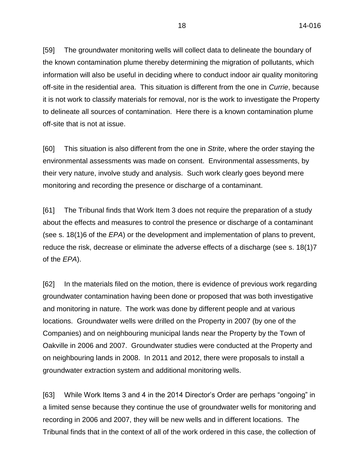[59] The groundwater monitoring wells will collect data to delineate the boundary of the known contamination plume thereby determining the migration of pollutants, which information will also be useful in deciding where to conduct indoor air quality monitoring off-site in the residential area. This situation is different from the one in *Currie*, because it is not work to classify materials for removal, nor is the work to investigate the Property to delineate all sources of contamination. Here there is a known contamination plume off-site that is not at issue.

[60] This situation is also different from the one in *Strite*, where the order staying the environmental assessments was made on consent. Environmental assessments, by their very nature, involve study and analysis. Such work clearly goes beyond mere monitoring and recording the presence or discharge of a contaminant.

[61] The Tribunal finds that Work Item 3 does not require the preparation of a study about the effects and measures to control the presence or discharge of a contaminant (see s. 18(1)6 of the *EPA*) or the development and implementation of plans to prevent, reduce the risk, decrease or eliminate the adverse effects of a discharge (see s. 18(1)7 of the *EPA*).

[62] In the materials filed on the motion, there is evidence of previous work regarding groundwater contamination having been done or proposed that was both investigative and monitoring in nature. The work was done by different people and at various locations. Groundwater wells were drilled on the Property in 2007 (by one of the Companies) and on neighbouring municipal lands near the Property by the Town of Oakville in 2006 and 2007. Groundwater studies were conducted at the Property and on neighbouring lands in 2008. In 2011 and 2012, there were proposals to install a groundwater extraction system and additional monitoring wells.

[63] While Work Items 3 and 4 in the 2014 Director's Order are perhaps "ongoing" in a limited sense because they continue the use of groundwater wells for monitoring and recording in 2006 and 2007, they will be new wells and in different locations. The Tribunal finds that in the context of all of the work ordered in this case, the collection of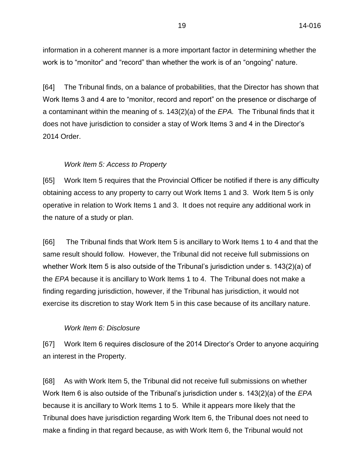information in a coherent manner is a more important factor in determining whether the work is to "monitor" and "record" than whether the work is of an "ongoing" nature.

[64] The Tribunal finds, on a balance of probabilities, that the Director has shown that Work Items 3 and 4 are to "monitor, record and report" on the presence or discharge of a contaminant within the meaning of s. 143(2)(a) of the *EPA.* The Tribunal finds that it does not have jurisdiction to consider a stay of Work Items 3 and 4 in the Director's 2014 Order.

## *Work Item 5: Access to Property*

[65] Work Item 5 requires that the Provincial Officer be notified if there is any difficulty obtaining access to any property to carry out Work Items 1 and 3. Work Item 5 is only operative in relation to Work Items 1 and 3. It does not require any additional work in the nature of a study or plan.

[66] The Tribunal finds that Work Item 5 is ancillary to Work Items 1 to 4 and that the same result should follow. However, the Tribunal did not receive full submissions on whether Work Item 5 is also outside of the Tribunal's jurisdiction under s. 143(2)(a) of the *EPA* because it is ancillary to Work Items 1 to 4. The Tribunal does not make a finding regarding jurisdiction, however, if the Tribunal has jurisdiction, it would not exercise its discretion to stay Work Item 5 in this case because of its ancillary nature.

### *Work Item 6: Disclosure*

[67] Work Item 6 requires disclosure of the 2014 Director's Order to anyone acquiring an interest in the Property.

[68] As with Work Item 5, the Tribunal did not receive full submissions on whether Work Item 6 is also outside of the Tribunal's jurisdiction under s. 143(2)(a) of the *EPA* because it is ancillary to Work Items 1 to 5. While it appears more likely that the Tribunal does have jurisdiction regarding Work Item 6, the Tribunal does not need to make a finding in that regard because, as with Work Item 6, the Tribunal would not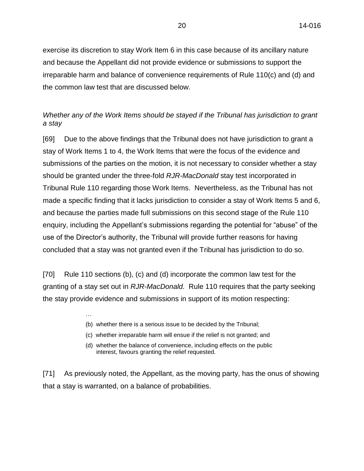exercise its discretion to stay Work Item 6 in this case because of its ancillary nature and because the Appellant did not provide evidence or submissions to support the irreparable harm and balance of convenience requirements of Rule 110(c) and (d) and the common law test that are discussed below.

# *Whether any of the Work Items should be stayed if the Tribunal has jurisdiction to grant a stay*

[69] Due to the above findings that the Tribunal does not have jurisdiction to grant a stay of Work Items 1 to 4, the Work Items that were the focus of the evidence and submissions of the parties on the motion, it is not necessary to consider whether a stay should be granted under the three-fold *RJR-MacDonald* stay test incorporated in Tribunal Rule 110 regarding those Work Items. Nevertheless, as the Tribunal has not made a specific finding that it lacks jurisdiction to consider a stay of Work Items 5 and 6, and because the parties made full submissions on this second stage of the Rule 110 enquiry, including the Appellant's submissions regarding the potential for "abuse" of the use of the Director's authority, the Tribunal will provide further reasons for having concluded that a stay was not granted even if the Tribunal has jurisdiction to do so.

[70] Rule 110 sections (b), (c) and (d) incorporate the common law test for the granting of a stay set out in *RJR-MacDonald.* Rule 110 requires that the party seeking the stay provide evidence and submissions in support of its motion respecting:

(b) whether there is a serious issue to be decided by the Tribunal;

…

- (c) whether irreparable harm will ensue if the relief is not granted; and
- (d) whether the balance of convenience, including effects on the public interest, favours granting the relief requested.

[71] As previously noted, the Appellant, as the moving party, has the onus of showing that a stay is warranted, on a balance of probabilities.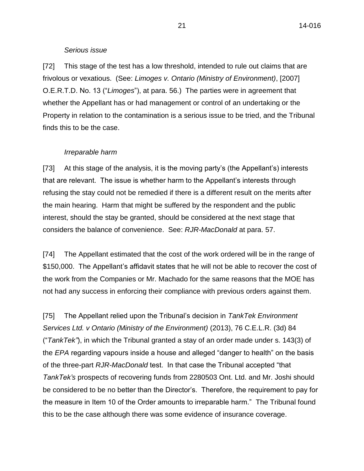### *Serious issue*

[72] This stage of the test has a low threshold, intended to rule out claims that are frivolous or vexatious. (See: *Limoges v. Ontario (Ministry of Environment)*, [2007] O.E.R.T.D. No. 13 ("*Limoges*"), at para. 56.) The parties were in agreement that whether the Appellant has or had management or control of an undertaking or the Property in relation to the contamination is a serious issue to be tried, and the Tribunal finds this to be the case.

## *Irreparable harm*

[73] At this stage of the analysis, it is the moving party's (the Appellant's) interests that are relevant. The issue is whether harm to the Appellant's interests through refusing the stay could not be remedied if there is a different result on the merits after the main hearing. Harm that might be suffered by the respondent and the public interest, should the stay be granted, should be considered at the next stage that considers the balance of convenience. See: *RJR-MacDonald* at para. 57.

[74] The Appellant estimated that the cost of the work ordered will be in the range of \$150,000. The Appellant's affidavit states that he will not be able to recover the cost of the work from the Companies or Mr. Machado for the same reasons that the MOE has not had any success in enforcing their compliance with previous orders against them.

[75] The Appellant relied upon the Tribunal's decision in *TankTek Environment Services Ltd. v Ontario (Ministry of the Environment)* (2013), 76 C.E.L.R. (3d) 84 ("*TankTek"*), in which the Tribunal granted a stay of an order made under s. 143(3) of the *EPA* regarding vapours inside a house and alleged "danger to health" on the basis of the three-part *RJR-MacDonald* test. In that case the Tribunal accepted "that *TankTek's* prospects of recovering funds from 2280503 Ont. Ltd. and Mr. Joshi should be considered to be no better than the Director's. Therefore, the requirement to pay for the measure in Item 10 of the Order amounts to irreparable harm." The Tribunal found this to be the case although there was some evidence of insurance coverage.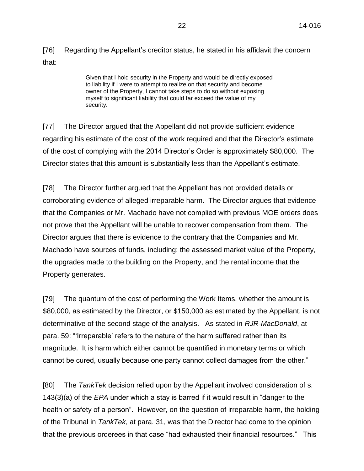[76] Regarding the Appellant's creditor status, he stated in his affidavit the concern that:

> Given that I hold security in the Property and would be directly exposed to liability if I were to attempt to realize on that security and become owner of the Property, I cannot take steps to do so without exposing myself to significant liability that could far exceed the value of my security.

[77] The Director argued that the Appellant did not provide sufficient evidence regarding his estimate of the cost of the work required and that the Director's estimate of the cost of complying with the 2014 Director's Order is approximately \$80,000. The Director states that this amount is substantially less than the Appellant's estimate.

[78] The Director further argued that the Appellant has not provided details or corroborating evidence of alleged irreparable harm. The Director argues that evidence that the Companies or Mr. Machado have not complied with previous MOE orders does not prove that the Appellant will be unable to recover compensation from them. The Director argues that there is evidence to the contrary that the Companies and Mr. Machado have sources of funds, including: the assessed market value of the Property, the upgrades made to the building on the Property, and the rental income that the Property generates.

[79] The quantum of the cost of performing the Work Items, whether the amount is \$80,000, as estimated by the Director, or \$150,000 as estimated by the Appellant, is not determinative of the second stage of the analysis. As stated in *RJR-MacDonald*, at para. 59: "'Irreparable' refers to the nature of the harm suffered rather than its magnitude. It is harm which either cannot be quantified in monetary terms or which cannot be cured, usually because one party cannot collect damages from the other."

[80] The *TankTek* decision relied upon by the Appellant involved consideration of s. 143(3)(a) of the *EPA* under which a stay is barred if it would result in "danger to the health or safety of a person". However, on the question of irreparable harm, the holding of the Tribunal in *TankTek*, at para. 31, was that the Director had come to the opinion that the previous orderees in that case "had exhausted their financial resources." This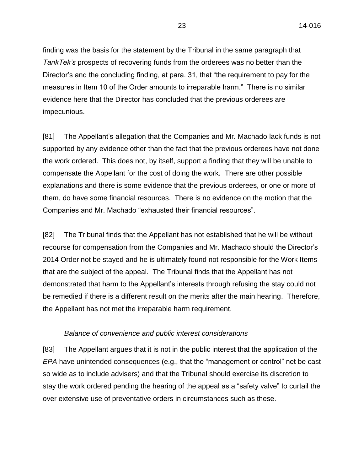finding was the basis for the statement by the Tribunal in the same paragraph that *TankTek's* prospects of recovering funds from the orderees was no better than the Director's and the concluding finding, at para. 31, that "the requirement to pay for the measures in Item 10 of the Order amounts to irreparable harm." There is no similar evidence here that the Director has concluded that the previous orderees are impecunious.

[81] The Appellant's allegation that the Companies and Mr. Machado lack funds is not supported by any evidence other than the fact that the previous orderees have not done the work ordered. This does not, by itself, support a finding that they will be unable to compensate the Appellant for the cost of doing the work. There are other possible explanations and there is some evidence that the previous orderees, or one or more of them, do have some financial resources. There is no evidence on the motion that the Companies and Mr. Machado "exhausted their financial resources".

[82] The Tribunal finds that the Appellant has not established that he will be without recourse for compensation from the Companies and Mr. Machado should the Director's 2014 Order not be stayed and he is ultimately found not responsible for the Work Items that are the subject of the appeal. The Tribunal finds that the Appellant has not demonstrated that harm to the Appellant's interests through refusing the stay could not be remedied if there is a different result on the merits after the main hearing. Therefore, the Appellant has not met the irreparable harm requirement.

## *Balance of convenience and public interest considerations*

[83] The Appellant argues that it is not in the public interest that the application of the *EPA* have unintended consequences (e.g., that the "management or control" net be cast so wide as to include advisers) and that the Tribunal should exercise its discretion to stay the work ordered pending the hearing of the appeal as a "safety valve" to curtail the over extensive use of preventative orders in circumstances such as these.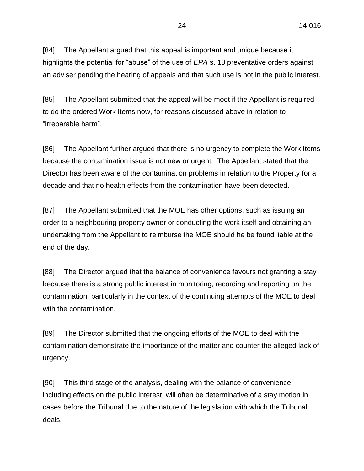[84] The Appellant argued that this appeal is important and unique because it highlights the potential for "abuse" of the use of *EPA* s. 18 preventative orders against an adviser pending the hearing of appeals and that such use is not in the public interest.

[85] The Appellant submitted that the appeal will be moot if the Appellant is required to do the ordered Work Items now, for reasons discussed above in relation to "irreparable harm".

[86] The Appellant further argued that there is no urgency to complete the Work Items because the contamination issue is not new or urgent. The Appellant stated that the Director has been aware of the contamination problems in relation to the Property for a decade and that no health effects from the contamination have been detected.

[87] The Appellant submitted that the MOE has other options, such as issuing an order to a neighbouring property owner or conducting the work itself and obtaining an undertaking from the Appellant to reimburse the MOE should he be found liable at the end of the day.

[88] The Director argued that the balance of convenience favours not granting a stay because there is a strong public interest in monitoring, recording and reporting on the contamination, particularly in the context of the continuing attempts of the MOE to deal with the contamination.

[89] The Director submitted that the ongoing efforts of the MOE to deal with the contamination demonstrate the importance of the matter and counter the alleged lack of urgency.

[90] This third stage of the analysis, dealing with the balance of convenience, including effects on the public interest, will often be determinative of a stay motion in cases before the Tribunal due to the nature of the legislation with which the Tribunal deals.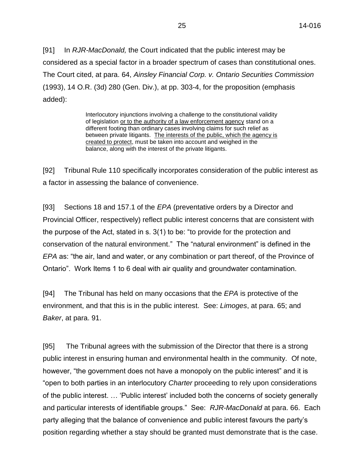[91] In *RJR-MacDonald,* the Court indicated that the public interest may be considered as a special factor in a broader spectrum of cases than constitutional ones. The Court cited, at para. 64, *Ainsley Financial Corp. v. Ontario Securities Commission* (1993), 14 O.R. (3d) 280 (Gen. Div.), at pp. 303-4, for the proposition (emphasis added):

> Interlocutory injunctions involving a challenge to the constitutional validity of legislation or to the authority of a law enforcement agency stand on a different footing than ordinary cases involving claims for such relief as between private litigants. The interests of the public, which the agency is created to protect, must be taken into account and weighed in the balance, along with the interest of the private litigants.

[92] Tribunal Rule 110 specifically incorporates consideration of the public interest as a factor in assessing the balance of convenience.

[93] Sections 18 and 157.1 of the *EPA* (preventative orders by a Director and Provincial Officer, respectively) reflect public interest concerns that are consistent with the purpose of the Act, stated in s. 3(1) to be: "to provide for the protection and conservation of the natural environment." The "natural environment" is defined in the *EPA* as: "the air, land and water, or any combination or part thereof, of the Province of Ontario". Work Items 1 to 6 deal with air quality and groundwater contamination.

[94] The Tribunal has held on many occasions that the *EPA* is protective of the environment, and that this is in the public interest. See: *Limoges*, at para. 65; and *Baker*, at para. 91.

[95] The Tribunal agrees with the submission of the Director that there is a strong public interest in ensuring human and environmental health in the community. Of note, however, "the government does not have a monopoly on the public interest" and it is "open to both parties in an interlocutory *Charter* proceeding to rely upon considerations of the public interest. … 'Public interest' included both the concerns of society generally and particular interests of identifiable groups." See: *RJR-MacDonald* at para. 66. Each party alleging that the balance of convenience and public interest favours the party's position regarding whether a stay should be granted must demonstrate that is the case.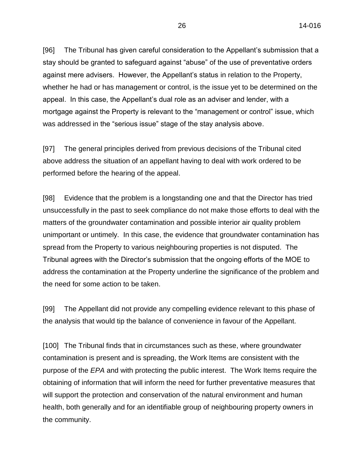[96] The Tribunal has given careful consideration to the Appellant's submission that a stay should be granted to safeguard against "abuse" of the use of preventative orders against mere advisers. However, the Appellant's status in relation to the Property, whether he had or has management or control, is the issue yet to be determined on the appeal. In this case, the Appellant's dual role as an adviser and lender, with a mortgage against the Property is relevant to the "management or control" issue, which was addressed in the "serious issue" stage of the stay analysis above.

[97] The general principles derived from previous decisions of the Tribunal cited above address the situation of an appellant having to deal with work ordered to be performed before the hearing of the appeal.

[98] Evidence that the problem is a longstanding one and that the Director has tried unsuccessfully in the past to seek compliance do not make those efforts to deal with the matters of the groundwater contamination and possible interior air quality problem unimportant or untimely. In this case, the evidence that groundwater contamination has spread from the Property to various neighbouring properties is not disputed. The Tribunal agrees with the Director's submission that the ongoing efforts of the MOE to address the contamination at the Property underline the significance of the problem and the need for some action to be taken.

[99] The Appellant did not provide any compelling evidence relevant to this phase of the analysis that would tip the balance of convenience in favour of the Appellant.

[100] The Tribunal finds that in circumstances such as these, where groundwater contamination is present and is spreading, the Work Items are consistent with the purpose of the *EPA* and with protecting the public interest. The Work Items require the obtaining of information that will inform the need for further preventative measures that will support the protection and conservation of the natural environment and human health, both generally and for an identifiable group of neighbouring property owners in the community.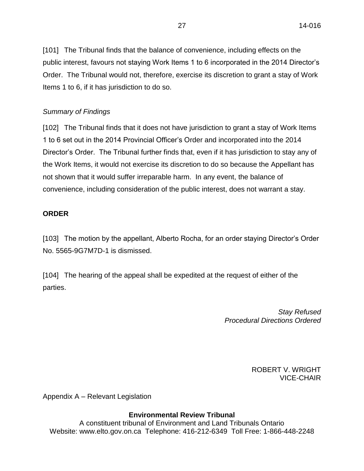[101] The Tribunal finds that the balance of convenience, including effects on the public interest, favours not staying Work Items 1 to 6 incorporated in the 2014 Director's Order. The Tribunal would not, therefore, exercise its discretion to grant a stay of Work Items 1 to 6, if it has jurisdiction to do so.

# *Summary of Findings*

[102] The Tribunal finds that it does not have jurisdiction to grant a stay of Work Items 1 to 6 set out in the 2014 Provincial Officer's Order and incorporated into the 2014 Director's Order. The Tribunal further finds that, even if it has jurisdiction to stay any of the Work Items, it would not exercise its discretion to do so because the Appellant has not shown that it would suffer irreparable harm. In any event, the balance of convenience, including consideration of the public interest, does not warrant a stay.

# **ORDER**

[103] The motion by the appellant, Alberto Rocha, for an order staying Director's Order No. 5565-9G7M7D-1 is dismissed.

[104] The hearing of the appeal shall be expedited at the request of either of the parties.

> *Stay Refused Procedural Directions Ordered*

> > ROBERT V. WRIGHT VICE-CHAIR

Appendix A – Relevant Legislation

# **Environmental Review Tribunal**

A constituent tribunal of Environment and Land Tribunals Ontario Website: www.elto.gov.on.ca Telephone: 416-212-6349 Toll Free: 1-866-448-2248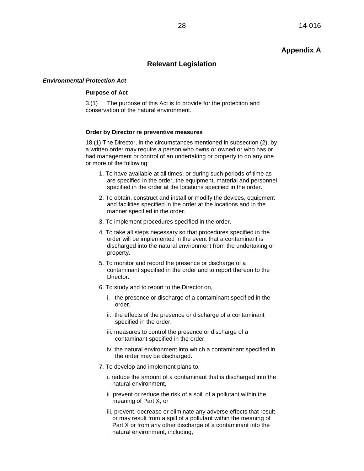# **Appendix A**

## **Relevant Legislation**

### *Environmental Protection Act*

### **Purpose of Act**

3.(1) The purpose of this Act is to provide for the protection and conservation of the natural environment.

#### **Order by Director re preventive measures**

18.(1) The Director, in the circumstances mentioned in subsection (2), by a written order may require a person who owns or owned or who has or had management or control of an undertaking or property to do any one or more of the following:

- 1. To have available at all times, or during such periods of time as are specified in the order, the equipment, material and personnel specified in the order at the locations specified in the order.
- 2. To obtain, construct and install or modify the devices, equipment and facilities specified in the order at the locations and in the manner specified in the order.
- 3. To implement procedures specified in the order.
- 4. To take all steps necessary so that procedures specified in the order will be implemented in the event that a contaminant is discharged into the natural environment from the undertaking or property.
- 5. To monitor and record the presence or discharge of a contaminant specified in the order and to report thereon to the Director.
- 6. To study and to report to the Director on,
	- i. the presence or discharge of a contaminant specified in the order,
	- ii. the effects of the presence or discharge of a contaminant specified in the order,
	- iii. measures to control the presence or discharge of a contaminant specified in the order,
	- iv. the natural environment into which a contaminant specified in the order may be discharged.
- 7. To develop and implement plans to,
	- i. reduce the amount of a contaminant that is discharged into the natural environment,
	- ii. prevent or reduce the risk of a spill of a pollutant within the meaning of Part X, or
	- iii. prevent, decrease or eliminate any adverse effects that result or may result from a spill of a pollutant within the meaning of Part X or from any other discharge of a contaminant into the natural environment, including,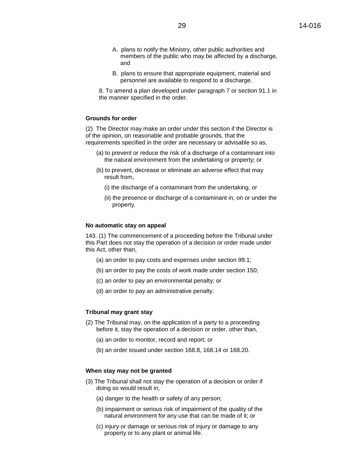- A. plans to notify the Ministry, other public authorities and members of the public who may be affected by a discharge, and
- B. plans to ensure that appropriate equipment, material and personnel are available to respond to a discharge.

8. To amend a plan developed under paragraph 7 or section 91.1 in the manner specified in the order.

#### **Grounds for order**

(2) The Director may make an order under this section if the Director is of the opinion, on reasonable and probable grounds, that the requirements specified in the order are necessary or advisable so as,

- (a) to prevent or reduce the risk of a discharge of a contaminant into the natural environment from the undertaking or property; or
- (b) to prevent, decrease or eliminate an adverse effect that may result from,
	- (i) the discharge of a contaminant from the undertaking, or
	- (ii) the presence or discharge of a contaminant in, on or under the property.

#### **No automatic stay on appeal**

143. (1) The commencement of a proceeding before the Tribunal under this Part does not stay the operation of a decision or order made under this Act, other than,

- (a) an order to pay costs and expenses under section 99.1;
- (b) an order to pay the costs of work made under section 150;
- (c) an order to pay an environmental penalty; or
- (d) an order to pay an administrative penalty.

#### **Tribunal may grant stay**

- (2) The Tribunal may, on the application of a party to a proceeding before it, stay the operation of a decision or order, other than,
	- (a) an order to monitor, record and report; or
	- (b) an order issued under section 168.8, 168.14 or 168.20.

### **When stay may not be granted**

- (3) The Tribunal shall not stay the operation of a decision or order if doing so would result in,
	- (a) danger to the health or safety of any person;
	- (b) impairment or serious risk of impairment of the quality of the natural environment for any use that can be made of it; or
	- (c) injury or damage or serious risk of injury or damage to any property or to any plant or animal life.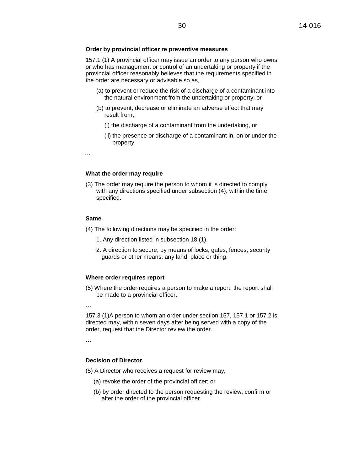#### **Order by provincial officer re preventive measures**

157.1 (1) A provincial officer may issue an order to any person who owns or who has management or control of an undertaking or property if the provincial officer reasonably believes that the requirements specified in the order are necessary or advisable so as,

- (a) to prevent or reduce the risk of a discharge of a contaminant into the natural environment from the undertaking or property; or
- (b) to prevent, decrease or eliminate an adverse effect that may result from,
	- (i) the discharge of a contaminant from the undertaking, or
	- (ii) the presence or discharge of a contaminant in, on or under the property.

…

#### **What the order may require**

(3) The order may require the person to whom it is directed to comply with any directions specified under subsection (4), within the time specified.

#### **Same**

- (4) The following directions may be specified in the order:
	- 1. Any direction listed in subsection 18 (1).
	- 2. A direction to secure, by means of locks, gates, fences, security guards or other means, any land, place or thing.

#### **Where order requires report**

- (5) Where the order requires a person to make a report, the report shall be made to a provincial officer.
- …

157.3 (1)A person to whom an order under section 157, 157.1 or 157.2 is directed may, within seven days after being served with a copy of the order, request that the Director review the order.

…

#### **Decision of Director**

(5) A Director who receives a request for review may,

- (a) revoke the order of the provincial officer; or
- (b) by order directed to the person requesting the review, confirm or alter the order of the provincial officer.